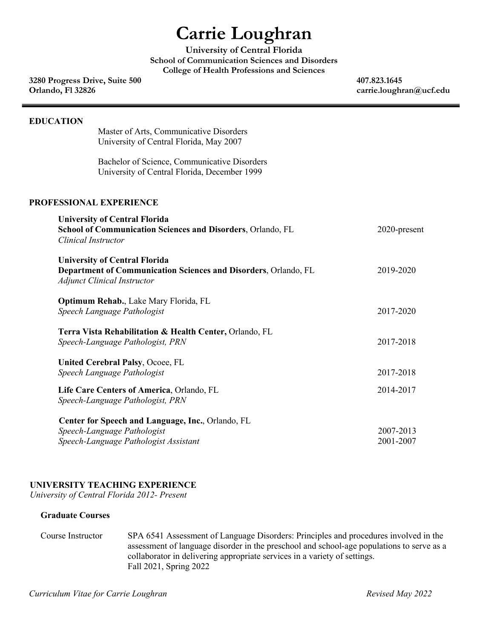# **Carrie Loughran**

**University of Central Florida School of Communication Sciences and Disorders College of Health Professions and Sciences**

**3280 Progress Drive, Suite 500 407.823.1645 Orlando, Fl 32826 carrie.loughran@ucf.edu**

| <b>EDUCATION</b>           | Master of Arts, Communicative Disorders<br>University of Central Florida, May 2007                                                            |                        |
|----------------------------|-----------------------------------------------------------------------------------------------------------------------------------------------|------------------------|
|                            | Bachelor of Science, Communicative Disorders<br>University of Central Florida, December 1999                                                  |                        |
|                            | PROFESSIONAL EXPERIENCE                                                                                                                       |                        |
| <b>Clinical Instructor</b> | <b>University of Central Florida</b><br>School of Communication Sciences and Disorders, Orlando, FL                                           | 2020-present           |
|                            | <b>University of Central Florida</b><br>Department of Communication Sciences and Disorders, Orlando, FL<br><b>Adjunct Clinical Instructor</b> | 2019-2020              |
|                            | Optimum Rehab., Lake Mary Florida, FL<br>Speech Language Pathologist                                                                          | 2017-2020              |
|                            | Terra Vista Rehabilitation & Health Center, Orlando, FL<br>Speech-Language Pathologist, PRN                                                   | 2017-2018              |
|                            | <b>United Cerebral Palsy, Ocoee, FL</b><br>Speech Language Pathologist                                                                        | 2017-2018              |
|                            | Life Care Centers of America, Orlando, FL<br>Speech-Language Pathologist, PRN                                                                 | 2014-2017              |
|                            | Center for Speech and Language, Inc., Orlando, FL<br>Speech-Language Pathologist<br>Speech-Language Pathologist Assistant                     | 2007-2013<br>2001-2007 |

## **UNIVERSITY TEACHING EXPERIENCE**

*University of Central Florida 2012- Present*

#### **Graduate Courses**

Course Instructor SPA 6541 Assessment of Language Disorders: Principles and procedures involved in the assessment of language disorder in the preschool and school-age populations to serve as a collaborator in delivering appropriate services in a variety of settings. Fall 2021, Spring 2022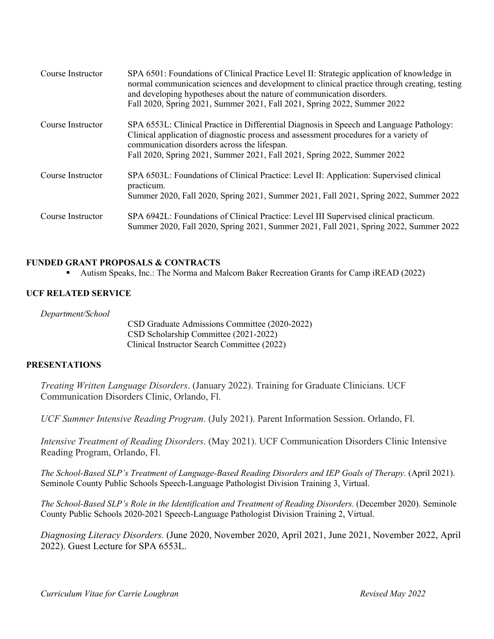| Course Instructor | SPA 6501: Foundations of Clinical Practice Level II: Strategic application of knowledge in<br>normal communication sciences and development to clinical practice through creating, testing<br>and developing hypotheses about the nature of communication disorders.<br>Fall 2020, Spring 2021, Summer 2021, Fall 2021, Spring 2022, Summer 2022 |  |
|-------------------|--------------------------------------------------------------------------------------------------------------------------------------------------------------------------------------------------------------------------------------------------------------------------------------------------------------------------------------------------|--|
| Course Instructor | SPA 6553L: Clinical Practice in Differential Diagnosis in Speech and Language Pathology:<br>Clinical application of diagnostic process and assessment procedures for a variety of<br>communication disorders across the lifespan.<br>Fall 2020, Spring 2021, Summer 2021, Fall 2021, Spring 2022, Summer 2022                                    |  |
| Course Instructor | SPA 6503L: Foundations of Clinical Practice: Level II: Application: Supervised clinical<br>practicum.<br>Summer 2020, Fall 2020, Spring 2021, Summer 2021, Fall 2021, Spring 2022, Summer 2022                                                                                                                                                   |  |
| Course Instructor | SPA 6942L: Foundations of Clinical Practice: Level III Supervised clinical practicum.<br>Summer 2020, Fall 2020, Spring 2021, Summer 2021, Fall 2021, Spring 2022, Summer 2022                                                                                                                                                                   |  |

## **FUNDED GRANT PROPOSALS & CONTRACTS**

§ Autism Speaks, Inc.: The Norma and Malcom Baker Recreation Grants for Camp iREAD (2022)

## **UCF RELATED SERVICE**

*Department/School*

CSD Graduate Admissions Committee (2020-2022) CSD Scholarship Committee (2021-2022) Clinical Instructor Search Committee (2022)

## **PRESENTATIONS**

*Treating Written Language Disorders*. (January 2022). Training for Graduate Clinicians. UCF Communication Disorders Clinic, Orlando, Fl.

*UCF Summer Intensive Reading Program*. (July 2021). Parent Information Session. Orlando, Fl.

*Intensive Treatment of Reading Disorders*. (May 2021). UCF Communication Disorders Clinic Intensive Reading Program, Orlando, Fl.

*The School-Based SLP's Treatment of Language-Based Reading Disorders and IEP Goals of Therapy*. (April 2021). Seminole County Public Schools Speech-Language Pathologist Division Training 3, Virtual.

*The School-Based SLP's Role in the Identification and Treatment of Reading Disorders.* (December 2020). Seminole County Public Schools 2020-2021 Speech-Language Pathologist Division Training 2, Virtual.

*Diagnosing Literacy Disorders.* (June 2020, November 2020, April 2021, June 2021, November 2022, April 2022). Guest Lecture for SPA 6553L.